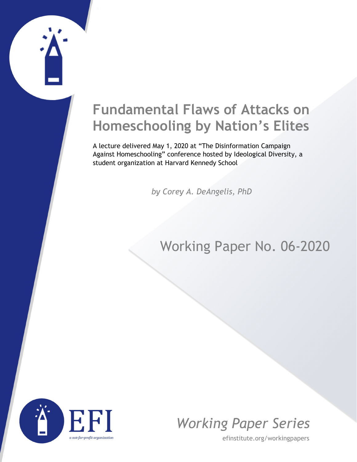## **Fundamental Flaws of Attacks on Homeschooling by Nation's Elites**

A lecture delivered May 1, 2020 at "The Disinformation Campaign Against Homeschooling" conference hosted by Ideological Diversity, a student organization at Harvard Kennedy School

*by Corey A. DeAngelis, PhD*

## Working Paper No. 06-2020





efinstitute.org/workingpapers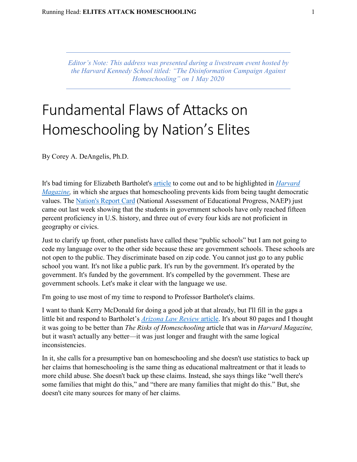*Editor's Note: This address was presented during a livestream event hosted by the Harvard Kennedy School titled: "The Disinformation Campaign Against Homeschooling" on 1 May 2020*

## Fundamental Flaws of Attacks on Homeschooling by Nation's Elites

By Corey A. DeAngelis, Ph.D.

It's bad timing for Elizabeth Bartholet's [article](https://harvardmagazine.com/2020/05/right-now-risks-homeschooling) to come out and to be highlighted in *[Harvard](https://harvardmagazine.com/2020/05/right-now-risks-homeschooling)  [Magazine,](https://harvardmagazine.com/2020/05/right-now-risks-homeschooling)* in which she argues that homeschooling prevents kids from being taught democratic values. The [Nation's Report Card](https://nces.ed.gov/nationsreportcard/) (National Assessment of Educational Progress, NAEP) just came out last week showing that the students in government schools have only reached fifteen percent proficiency in U.S. history, and three out of every four kids are not proficient in geography or civics.

Just to clarify up front, other panelists have called these "public schools" but I am not going to cede my language over to the other side because these are government schools. These schools are not open to the public. They discriminate based on zip code. You cannot just go to any public school you want. It's not like a public park. It's run by the government. It's operated by the government. It's funded by the government. It's compelled by the government. These are government schools. Let's make it clear with the language we use.

I'm going to use most of my time to respond to Professor Bartholet's claims.

I want to thank Kerry McDonald for doing a good job at that already, but I'll fill in the gaps a little bit and respond to Bartholet's *[Arizona Law Review](https://arizonalawreview.org/homeschooling-parent-rights-absolutism-vs-child-rights-to-education-protection/)* article. It's about 80 pages and I thought it was going to be better than *The Risks of Homeschooling* article that was in *Harvard Magazine,* but it wasn't actually any better—it was just longer and fraught with the same logical inconsistencies.

In it, she calls for a presumptive ban on homeschooling and she doesn't use statistics to back up her claims that homeschooling is the same thing as educational maltreatment or that it leads to more child abuse. She doesn't back up these claims. Instead, she says things like "well there's some families that might do this," and "there are many families that might do this." But, she doesn't cite many sources for many of her claims.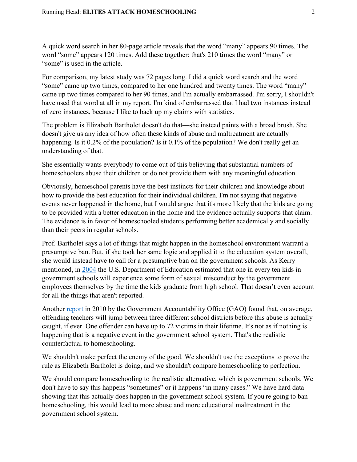A quick word search in her 80-page article reveals that the word "many" appears 90 times. The word "some" appears 120 times. Add these together: that's 210 times the word "many" or "some" is used in the article.

For comparison, my latest study was 72 pages long. I did a quick word search and the word "some" came up two times, compared to her one hundred and twenty times. The word "many" came up two times compared to her 90 times, and I'm actually embarrassed. I'm sorry, I shouldn't have used that word at all in my report. I'm kind of embarrassed that I had two instances instead of zero instances, because I like to back up my claims with statistics.

The problem is Elizabeth Bartholet doesn't do that—she instead paints with a broad brush. She doesn't give us any idea of how often these kinds of abuse and maltreatment are actually happening. Is it 0.2% of the population? Is it 0.1% of the population? We don't really get an understanding of that.

She essentially wants everybody to come out of this believing that substantial numbers of homeschoolers abuse their children or do not provide them with any meaningful education.

Obviously, homeschool parents have the best instincts for their children and knowledge about how to provide the best education for their individual children. I'm not saying that negative events never happened in the home, but I would argue that it's more likely that the kids are going to be provided with a better education in the home and the evidence actually supports that claim. The evidence is in favor of homeschooled students performing better academically and socially than their peers in regular schools.

Prof. Bartholet says a lot of things that might happen in the homeschool environment warrant a presumptive ban. But, if she took her same logic and applied it to the education system overall, she would instead have to call for a presumptive ban on the government schools. As Kerry mentioned, in [2004](https://www2.ed.gov/rschstat/research/pubs/misconductreview/index.html?fbclid=IwAR3cI-Jfp2WOlBWhjmRZGSkfD_Kb2NWVwk5go9O4g_AFyVkxEcXjhgxxeDs) the U.S. Department of Education estimated that one in every ten kids in government schools will experience some form of sexual misconduct by the government employees themselves by the time the kids graduate from high school. That doesn't even account for all the things that aren't reported.

Another [report](https://www.gao.gov/products/GAO-11-200) in 2010 by the Government Accountability Office (GAO) found that, on average, offending teachers will jump between three different school districts before this abuse is actually caught, if ever. One offender can have up to 72 victims in their lifetime. It's not as if nothing is happening that is a negative event in the government school system. That's the realistic counterfactual to homeschooling.

We shouldn't make perfect the enemy of the good. We shouldn't use the exceptions to prove the rule as Elizabeth Bartholet is doing, and we shouldn't compare homeschooling to perfection.

We should compare homeschooling to the realistic alternative, which is government schools. We don't have to say this happens "sometimes" or it happens "in many cases." We have hard data showing that this actually does happen in the government school system. If you're going to ban homeschooling, this would lead to more abuse and more educational maltreatment in the government school system.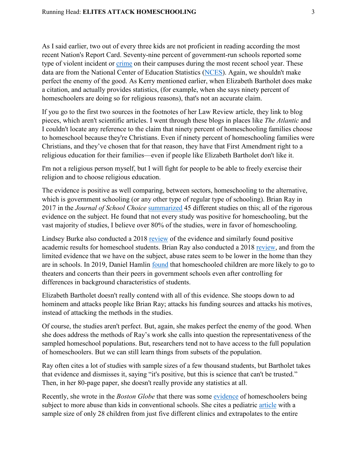As I said earlier, two out of every three kids are not proficient in reading according the most recent Nation's Report Card. Seventy-nine percent of government-run schools reported some type of violent incident or [crime](https://nces.ed.gov/pubsearch/pubsinfo.asp?pubid=2019047) on their campuses during the most recent school year. These data are from the National Center of Education Statistics [\(NCES\)](https://nces.ed.gov/pubsearch/pubsinfo.asp?pubid=2019047). Again, we shouldn't make perfect the enemy of the good. As Kerry mentioned earlier, when Elizabeth Bartholet does make a citation, and actually provides statistics, (for example, when she says ninety percent of homeschoolers are doing so for religious reasons), that's not an accurate claim.

If you go to the first two sources in the footnotes of her Law Review article, they link to blog pieces, which aren't scientific articles. I went through these blogs in places like *The Atlantic* and I couldn't locate any reference to the claim that ninety percent of homeschooling families choose to homeschool because they're Christians. Even if ninety percent of homeschooling families were Christians, and they've chosen that for that reason, they have that First Amendment right to a religious education for their families—even if people like Elizabeth Bartholet don't like it.

I'm not a religious person myself, but I will fight for people to be able to freely exercise their religion and to choose religious education.

The evidence is positive as well comparing, between sectors, homeschooling to the alternative, which is government schooling (or any other type of regular type of schooling). Brian Ray in 2017 in the *Journal of School Choice* [summarized](https://www.tandfonline.com/doi/full/10.1080/15582159.2017.1395638) 45 different studies on this; all of the rigorous evidence on the subject. He found that not every study was positive for homeschooling, but the vast majority of studies, I believe over 80% of the studies, were in favor of homeschooling.

Lindsey Burke also conducted a 2018 [review](http://efinstitute.org/academic-achievement-of-home-schooled-students-literature-review/) of the evidence and similarly found positive academic results for homeschool students. Brian Ray also conducted a 2018 [review,](https://www.nheri.org/child-abuse-of-public-school-private-school-and-homeschool-students-evidence-philosophy-and-reason/) and from the limited evidence that we have on the subject, abuse rates seem to be lower in the home than they are in schools. In 2019, Daniel Hamlin [found](https://www.tandfonline.com/doi/abs/10.1080/0161956X.2019.1617582) that homeschooled children are more likely to go to theaters and concerts than their peers in government schools even after controlling for differences in background characteristics of students.

Elizabeth Bartholet doesn't really contend with all of this evidence. She stoops down to ad hominem and attacks people like Brian Ray; attacks his funding sources and attacks his motives, instead of attacking the methods in the studies.

Of course, the studies aren't perfect. But, again, she makes perfect the enemy of the good. When she does address the methods of Ray's work she calls into question the representativeness of the sampled homeschool populations. But, researchers tend not to have access to the full population of homeschoolers. But we can still learn things from subsets of the population.

Ray often cites a lot of studies with sample sizes of a few thousand students, but Bartholet takes that evidence and dismisses it, saying "it's positive, but this is science that can't be trusted." Then, in her 80-page paper, she doesn't really provide any statistics at all.

Recently, she wrote in the *Boston Globe* that there was some [evidence](https://www.bostonglobe.com/2020/04/21/opinion/at-risk-children-need-more-than-virtual-visits-during-coronavirus-pandemic/) of homeschoolers being subject to more abuse than kids in conventional schools. She cites a pediatric [article](https://www.tdcaa.com/wp-content/uploads/Knox-Torture-as-a-Form-of-Child-Abuse-article.pdf) with a sample size of only 28 children from just five different clinics and extrapolates to the entire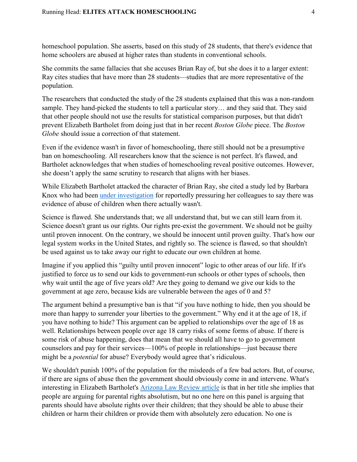homeschool population. She asserts, based on this study of 28 students, that there's evidence that home schoolers are abused at higher rates than students in conventional schools.

She commits the same fallacies that she accuses Brian Ray of, but she does it to a larger extent: Ray cites studies that have more than 28 students—studies that are more representative of the population.

The researchers that conducted the study of the 28 students explained that this was a non-random sample. They hand-picked the students to tell a particular story… and they said that. They said that other people should not use the results for statistical comparison purposes, but that didn't prevent Elizabeth Bartholet from doing just that in her recent *Boston Globe* piece. The *Boston Globe* should issue a correction of that statement.

Even if the evidence wasn't in favor of homeschooling, there still should not be a presumptive ban on homeschooling. All researchers know that the science is not perfect. It's flawed, and Bartholet acknowledges that when studies of homeschooling reveal positive outcomes. However, she doesn't apply the same scrutiny to research that aligns with her biases.

While Elizabeth Bartholet attacked the character of Brian Ray, she cited a study led by Barbara Knox who had been [under investigation](https://www.postcrescent.com/story/news/2020/03/03/child-abuse-pediatricians-tactics-conclusions-questioned-parents/4883001002/) for reportedly pressuring her colleagues to say there was evidence of abuse of children when there actually wasn't.

Science is flawed. She understands that; we all understand that, but we can still learn from it. Science doesn't grant us our rights. Our rights pre-exist the government. We should not be guilty until proven innocent. On the contrary, we should be innocent until proven guilty. That's how our legal system works in the United States, and rightly so. The science is flawed, so that shouldn't be used against us to take away our right to educate our own children at home.

Imagine if you applied this "guilty until proven innocent" logic to other areas of our life. If it's justified to force us to send our kids to government-run schools or other types of schools, then why wait until the age of five years old? Are they going to demand we give our kids to the government at age zero, because kids are vulnerable between the ages of 0 and 5?

The argument behind a presumptive ban is that "if you have nothing to hide, then you should be more than happy to surrender your liberties to the government." Why end it at the age of 18, if you have nothing to hide? This argument can be applied to relationships over the age of 18 as well. Relationships between people over age 18 carry risks of some forms of abuse. If there is some risk of abuse happening, does that mean that we should all have to go to government counselors and pay for their services—100% of people in relationships—just because there might be a *potential* for abuse? Everybody would agree that's ridiculous.

We shouldn't punish 100% of the population for the misdeeds of a few bad actors. But, of course, if there are signs of abuse then the government should obviously come in and intervene. What's interesting in Elizabeth Bartholet's [Arizona Law Review article](https://arizonalawreview.org/homeschooling-parent-rights-absolutism-vs-child-rights-to-education-protection/) is that in her title she implies that people are arguing for parental rights absolutism, but no one here on this panel is arguing that parents should have absolute rights over their children; that they should be able to abuse their children or harm their children or provide them with absolutely zero education. No one is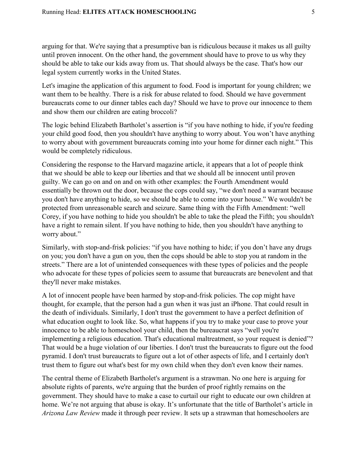arguing for that. We're saying that a presumptive ban is ridiculous because it makes us all guilty until proven innocent. On the other hand, the government should have to prove to us why they should be able to take our kids away from us. That should always be the case. That's how our legal system currently works in the United States.

Let's imagine the application of this argument to food. Food is important for young children; we want them to be healthy. There is a risk for abuse related to food. Should we have government bureaucrats come to our dinner tables each day? Should we have to prove our innocence to them and show them our children are eating broccoli?

The logic behind Elizabeth Bartholet's assertion is "if you have nothing to hide, if you're feeding your child good food, then you shouldn't have anything to worry about. You won't have anything to worry about with government bureaucrats coming into your home for dinner each night." This would be completely ridiculous.

Considering the response to the Harvard magazine article, it appears that a lot of people think that we should be able to keep our liberties and that we should all be innocent until proven guilty. We can go on and on and on with other examples: the Fourth Amendment would essentially be thrown out the door, because the cops could say, "we don't need a warrant because you don't have anything to hide, so we should be able to come into your house." We wouldn't be protected from unreasonable search and seizure. Same thing with the Fifth Amendment: "well Corey, if you have nothing to hide you shouldn't be able to take the plead the Fifth; you shouldn't have a right to remain silent. If you have nothing to hide, then you shouldn't have anything to worry about."

Similarly, with stop-and-frisk policies: "if you have nothing to hide; if you don't have any drugs on you; you don't have a gun on you, then the cops should be able to stop you at random in the streets." There are a lot of unintended consequences with these types of policies and the people who advocate for these types of policies seem to assume that bureaucrats are benevolent and that they'll never make mistakes.

A lot of innocent people have been harmed by stop-and-frisk policies. The cop might have thought, for example, that the person had a gun when it was just an iPhone. That could result in the death of individuals. Similarly, I don't trust the government to have a perfect definition of what education ought to look like. So, what happens if you try to make your case to prove your innocence to be able to homeschool your child, then the bureaucrat says "well you're implementing a religious education. That's educational maltreatment, so your request is denied"? That would be a huge violation of our liberties. I don't trust the bureaucrats to figure out the food pyramid. I don't trust bureaucrats to figure out a lot of other aspects of life, and I certainly don't trust them to figure out what's best for my own child when they don't even know their names.

The central theme of Elizabeth Bartholet's argument is a strawman. No one here is arguing for absolute rights of parents, we're arguing that the burden of proof rightly remains on the government. They should have to make a case to curtail our right to educate our own children at home. We're not arguing that abuse is okay. It's unfortunate that the title of Bartholet's article in *Arizona Law Review* made it through peer review. It sets up a strawman that homeschoolers are